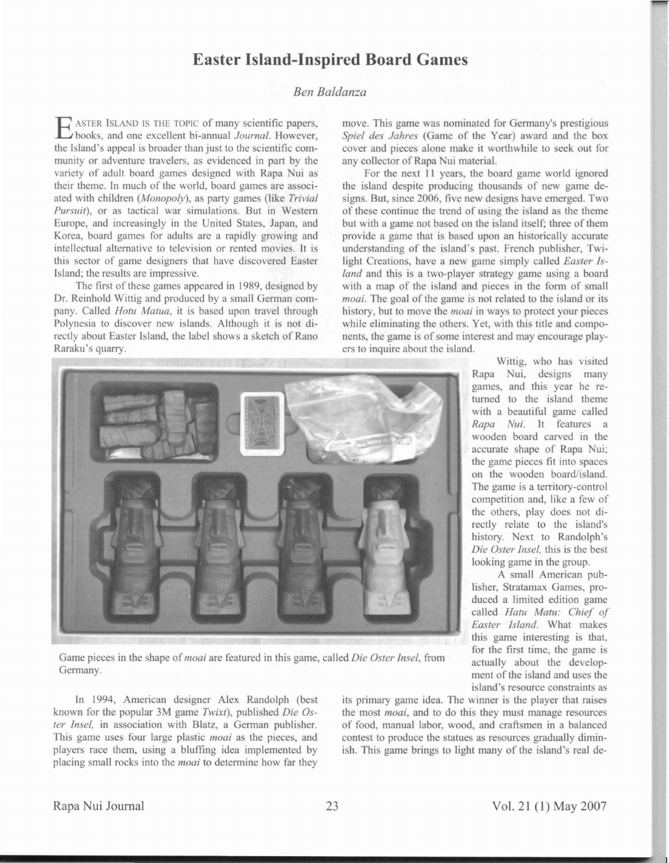## **Easter Island-Inspired Board Games**

## *Ben Baldanza*

ASTER ISLAND IS THE TOPIC of many scientific papers, books, and one excellent bi-annual *Journal.* However, the Island's appeal is broader than just to the scientific community or adventure traveler, as evidenced in part by the variety of adult board games designed with Rapa Nui as their theme. In much of the world, board games are associated with children *(Monopoly),* as party games (like *Trivial* Pursuit), or as tactical war simulations. But in Western Europe, and increasingly in the United States, Japan, and Korea, board games for adults are a rapidly growing and intellectual alternative to television or rented movies. It is this sector of game designers that have discovered Easter Island; the results are impressive.

The first of these games appeared in 1989, designed by Dr. Reinhold Wittig and produced by a small German company. Called *Hotu Matua*, it is based upon travel through Polynesia to discover new islands. Although it is not directly about Easter Island, the label shows a sketch of Rano Raraku's quarry.

move. This game was nominated for Germany's prestigious *Spiel des Jahres* (Game of the Year) award and the box cover and pieces alone make it worthwhile to seek out for any collector of Rapa Nui material.

For the next II year, the board game world ignored the island despite producing thousands of new game designs. But, since 2006, five new designs have emerged. Two of these continue the trend of using the island as the theme but with a game not based on the island itself; three of them provide a game that is based upon an historically accurate understanding of the island's past. French publisher, Twilight Creations, have a new game simply called *Easter Island* and this is a two-player strategy game using a board with a map of the island and pieces in the form of small *moai*. The goal of the game is not related to the island or its history, but to move the *moai* in ways to protect your pieces while eliminating the others. Yet, with this title and components, the game is of some interest and may encourage players to inquire about the island.



Game pieces in the hape of*moai* are featured in this game, called *Die Oster Insel,* from Germany.

In 1994, American designer Alex Randolph (best known for the popular 3M game *Twixt*), published *Die Oster Insel*, in association with Blatz, a German publisher. This game uses four large plastic *moai* as the pieces, and players race them, using a bluffing idea implemented by placing small rocks into the *moai* to determine how far they its primary game idea. The winner is the player that raises the most *moai*, and to do this they must manage resources of food, manual labor, wood, and craftsmen in a balanced contest to produce the statues as resources gradually diminish. This game brings to light many of the island's real de-

Rapa Nui, designs many games, and this year he returned to the island theme with a beautiful game called *Rapa Nui.* It features a wooden board carved in the accurate shape of Rapa Nui: the game pieces fit into spaces on the wooden board/island. The game is a territory-control competition and, like a few of the others, play does not directly relate to the island's history. Next to Randolph's *Die Oster Insel*, this is the best looking game in the group.

Wittig, who has visited

A small American publisher, Stratamax Games, produced a limited edition game called *Hatll Matu: Chief of Easter Island.* What make this game interesting is that, for the first time, the game is actually about the development of the island and uses the island's resource constraints as